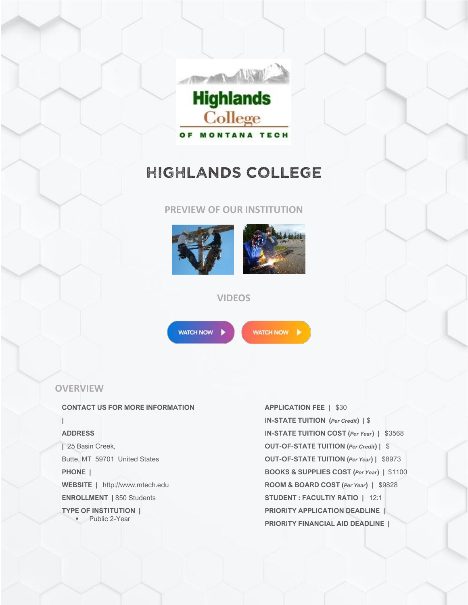

# HIGHLANDS COLLEGE

# **PREVIEW OF OUR INSTITUTION**





# **VIDEOS**



WATCH NOW |

# **OVERVIEW**

#### **CONTACT US FOR MORE INFORMATION**

### **ADDRESS**

**|**

**|** 25 Basin Creek, Butte, MT 59701 United States **PHONE | WEBSITE |** http://www.mtech.edu **ENROLLMENT |** 850 Students **TYPE OF INSTITUTION |** ▪ Public 2-Year

**APPLICATION FEE |** \$30 **IN-STATE TUITION (***Per Credit***) |** \$ **IN-STATE TUITION COST (***Per Year***) |** \$3568 **OUT-OF-STATE TUITION (***Per Credit***) |** \$ **OUT-OF-STATE TUITION (***Per Year***) |** \$8973 **BOOKS & SUPPLIES COST (***Per Year***) |** \$1100 **ROOM & BOARD COST (***Per Year***) |** \$9828 **STUDENT : FACULTIY RATIO |** 12:1 **PRIORITY APPLICATION DEADLINE | PRIORITY FINANCIAL AID DEADLINE |**